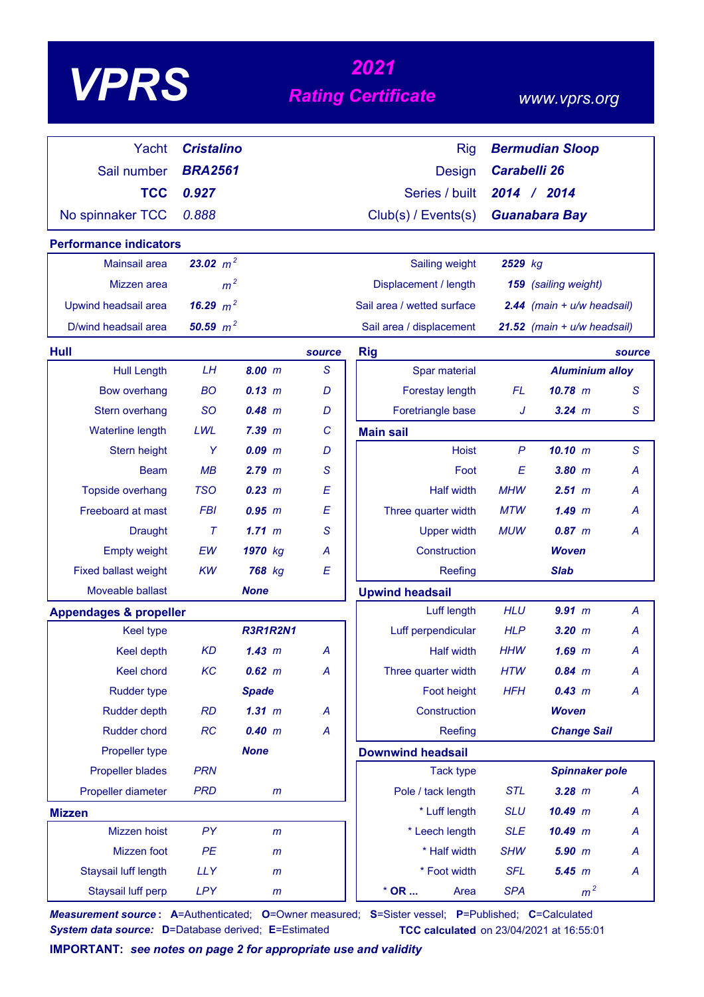# *<sup>2021</sup> VPRS Rating Certificate*

### *www.vprs.org*

| Yacht                             | <b>Cristalino</b> |                 |        | <b>Rig</b>                 |                     | <b>Bermudian Sloop</b>         |                |
|-----------------------------------|-------------------|-----------------|--------|----------------------------|---------------------|--------------------------------|----------------|
| Sail number                       | <b>BRA2561</b>    |                 |        | <b>Design</b>              | <b>Carabelli 26</b> |                                |                |
| <b>TCC</b>                        | 0.927             |                 |        | Series / built             |                     | 2014 / 2014                    |                |
|                                   |                   |                 |        |                            |                     |                                |                |
| No spinnaker TCC                  | 0.888             |                 |        | Club(s) / Events(s)        |                     | <b>Guanabara Bay</b>           |                |
| <b>Performance indicators</b>     |                   |                 |        |                            |                     |                                |                |
| Mainsail area                     | 23.02 $m^2$       |                 |        | Sailing weight             | 2529 kg             |                                |                |
| Mizzen area                       | m <sup>2</sup>    |                 |        | Displacement / length      |                     | 159 (sailing weight)           |                |
| Upwind headsail area              | 16.29 $m^2$       |                 |        | Sail area / wetted surface |                     | $2.44$ (main + $u/w$ headsail) |                |
| D/wind headsail area              | 50.59 $m^2$       |                 |        | Sail area / displacement   |                     | 21.52 (main + u/w headsail)    |                |
| <b>Hull</b>                       |                   |                 | source | <b>Rig</b>                 |                     |                                | source         |
| <b>Hull Length</b>                | LH                | 8.00 m          | S      | Spar material              |                     | <b>Aluminium alloy</b>         |                |
| <b>Bow overhang</b>               | <b>BO</b>         | $0.13 \, m$     | D      | Forestay length            | <b>FL</b>           | $10.78$ m                      | S              |
| Stern overhang                    | <b>SO</b>         | $0.48$ m        | D      | Foretriangle base          | J                   | $3.24$ m                       | S              |
| Waterline length                  | LWL               | 7.39 m          | C      | <b>Main sail</b>           |                     |                                |                |
| Stern height                      | Y                 | $0.09$ $m$      | D      | <b>Hoist</b>               | $\mathsf{P}$        | 10.10 m                        | S              |
| <b>Beam</b>                       | MB                | $2.79$ $m$      | S      | Foot                       | E                   | $3.80$ $m$                     | Α              |
| Topside overhang                  | <b>TSO</b>        | 0.23 m          | E      | <b>Half width</b>          | <b>MHW</b>          | 2.51~m                         | А              |
| Freeboard at mast                 | <b>FBI</b>        | $0.95$ $m$      | E      | Three quarter width        | MTW                 | 1.49~m                         | А              |
| <b>Draught</b>                    | $\tau$            | 1.71~m          | S      | <b>Upper width</b>         | <b>MUW</b>          | 0.87~m                         | Α              |
| <b>Empty weight</b>               | EW                | 1970 kg         | А      | Construction               |                     | <b>Woven</b>                   |                |
| <b>Fixed ballast weight</b>       | <b>KW</b>         | 768 kg          | E      | Reefing                    |                     | <b>Slab</b>                    |                |
| Moveable ballast                  |                   | <b>None</b>     |        | <b>Upwind headsail</b>     |                     |                                |                |
| <b>Appendages &amp; propeller</b> |                   |                 |        | Luff length                | <b>HLU</b>          | $9.91$ m                       | $\overline{A}$ |
| <b>Keel type</b>                  |                   | <b>R3R1R2N1</b> |        | Luff perpendicular         | <b>HLP</b>          | $3.20$ $m$                     | А              |
| Keel depth                        | <b>KD</b>         | 1.43~m          | А      | <b>Half width</b>          | HHW                 | $1.69$ $m$                     | Α              |
| <b>Keel chord</b>                 | KC                | $0.62 \, m$     | А      | Three quarter width        | <b>HTW</b>          | $0.84$ m                       | A              |
| <b>Rudder type</b>                |                   | <b>Spade</b>    |        | Foot height                | <b>HFH</b>          | 0.43 m                         | A              |
| <b>Rudder depth</b>               | <b>RD</b>         | $1.31$ m        | A      | Construction               |                     | <b>Woven</b>                   |                |
| <b>Rudder chord</b>               | <b>RC</b>         | 0.40 m          | A      | Reefing                    |                     | <b>Change Sail</b>             |                |
| Propeller type                    |                   | <b>None</b>     |        | <b>Downwind headsail</b>   |                     |                                |                |
| <b>Propeller blades</b>           | <b>PRN</b>        |                 |        | <b>Tack type</b>           |                     | <b>Spinnaker pole</b>          |                |
| Propeller diameter                | <b>PRD</b>        | m               |        | Pole / tack length         | <b>STL</b>          | $3.28$ m                       | A              |
| <b>Mizzen</b>                     |                   |                 |        | * Luff length              | <b>SLU</b>          | 10.49 m                        | Α              |
| Mizzen hoist                      | PY                | m               |        | * Leech length             | <b>SLE</b>          | $10.49$ m                      | Α              |
| Mizzen foot                       | PE                | m               |        | * Half width               | <b>SHW</b>          | $5.90$ $m$                     | A              |
| Staysail luff length              | <b>LLY</b>        | m               |        | * Foot width               | <b>SFL</b>          | 5.45 m                         | A              |
| Staysail luff perp                | <b>LPY</b>        | m               |        | $*$ OR<br>Area             | <b>SPA</b>          | m <sup>2</sup>                 |                |

*Measurement source* **: A**=Authenticated; **O**=Owner measured; **S**=Sister vessel; **P**=Published; **C**=Calculated *System data source:* **D**=Database derived; **E**=Estimated **TCC calculated** on 23/04/2021 at 16:55:01

**IMPORTANT:** *see notes on page 2 for appropriate use and validity*